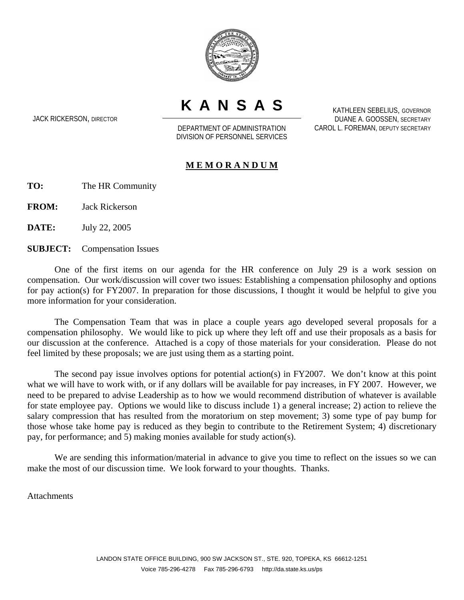

**KANSAS**

JACK RICKERSON, DIRECTOR

DEPARTMENT OF ADMINISTRATION DIVISION OF PERSONNEL SERVICES

KATHLEEN SEBELIUS, GOVERNOR DUANE A. GOOSSEN, SECRETARY CAROL L. FOREMAN, DEPUTY SECRETARY

## **M E M O R A N D U M**

**TO:** The HR Community

**FROM:** Jack Rickerson

**DATE:** July 22, 2005

**SUBJECT:** Compensation Issues

One of the first items on our agenda for the HR conference on July 29 is a work session on compensation. Our work/discussion will cover two issues: Establishing a compensation philosophy and options for pay action(s) for FY2007. In preparation for those discussions, I thought it would be helpful to give you more information for your consideration.

The Compensation Team that was in place a couple years ago developed several proposals for a compensation philosophy. We would like to pick up where they left off and use their proposals as a basis for our discussion at the conference. Attached is a copy of those materials for your consideration. Please do not feel limited by these proposals; we are just using them as a starting point.

The second pay issue involves options for potential action(s) in FY2007. We don't know at this point what we will have to work with, or if any dollars will be available for pay increases, in FY 2007. However, we need to be prepared to advise Leadership as to how we would recommend distribution of whatever is available for state employee pay. Options we would like to discuss include 1) a general increase; 2) action to relieve the salary compression that has resulted from the moratorium on step movement; 3) some type of pay bump for those whose take home pay is reduced as they begin to contribute to the Retirement System; 4) discretionary pay, for performance; and 5) making monies available for study action(s).

We are sending this information/material in advance to give you time to reflect on the issues so we can make the most of our discussion time. We look forward to your thoughts. Thanks.

**Attachments**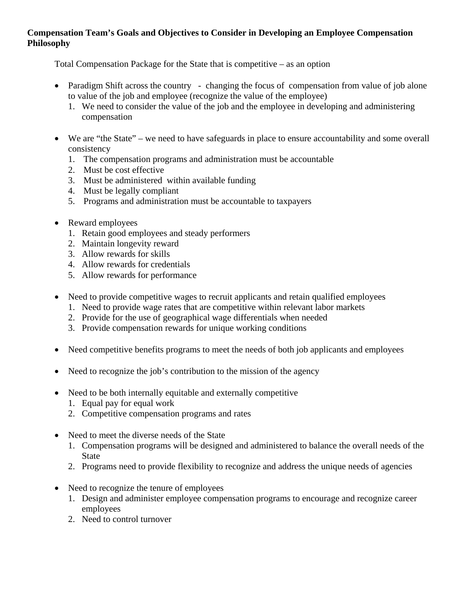## **Compensation Team's Goals and Objectives to Consider in Developing an Employee Compensation Philosophy**

Total Compensation Package for the State that is competitive – as an option

- Paradigm Shift across the country changing the focus of compensation from value of job alone to value of the job and employee (recognize the value of the employee)
	- 1. We need to consider the value of the job and the employee in developing and administering compensation
- We are "the State" we need to have safeguards in place to ensure accountability and some overall consistency
	- 1. The compensation programs and administration must be accountable
	- 2. Must be cost effective
	- 3. Must be administered within available funding
	- 4. Must be legally compliant
	- 5. Programs and administration must be accountable to taxpayers
- Reward employees
	- 1. Retain good employees and steady performers
	- 2. Maintain longevity reward
	- 3. Allow rewards for skills
	- 4. Allow rewards for credentials
	- 5. Allow rewards for performance
- Need to provide competitive wages to recruit applicants and retain qualified employees
	- 1. Need to provide wage rates that are competitive within relevant labor markets
	- 2. Provide for the use of geographical wage differentials when needed
	- 3. Provide compensation rewards for unique working conditions
- Need competitive benefits programs to meet the needs of both job applicants and employees
- Need to recognize the job's contribution to the mission of the agency
- Need to be both internally equitable and externally competitive
	- 1. Equal pay for equal work
	- 2. Competitive compensation programs and rates
- Need to meet the diverse needs of the State
	- 1. Compensation programs will be designed and administered to balance the overall needs of the **State**
	- 2. Programs need to provide flexibility to recognize and address the unique needs of agencies
- Need to recognize the tenure of employees
	- 1. Design and administer employee compensation programs to encourage and recognize career employees
	- 2. Need to control turnover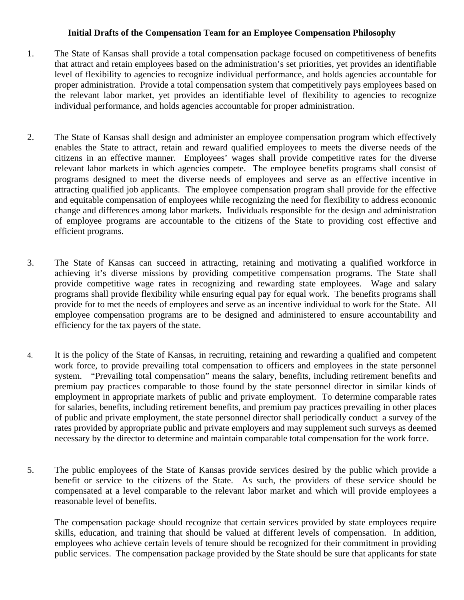## **Initial Drafts of the Compensation Team for an Employee Compensation Philosophy**

- 1. The State of Kansas shall provide a total compensation package focused on competitiveness of benefits that attract and retain employees based on the administration's set priorities, yet provides an identifiable level of flexibility to agencies to recognize individual performance, and holds agencies accountable for proper administration. Provide a total compensation system that competitively pays employees based on the relevant labor market, yet provides an identifiable level of flexibility to agencies to recognize individual performance, and holds agencies accountable for proper administration.
- 2. The State of Kansas shall design and administer an employee compensation program which effectively enables the State to attract, retain and reward qualified employees to meets the diverse needs of the citizens in an effective manner. Employees' wages shall provide competitive rates for the diverse relevant labor markets in which agencies compete. The employee benefits programs shall consist of programs designed to meet the diverse needs of employees and serve as an effective incentive in attracting qualified job applicants. The employee compensation program shall provide for the effective and equitable compensation of employees while recognizing the need for flexibility to address economic change and differences among labor markets. Individuals responsible for the design and administration of employee programs are accountable to the citizens of the State to providing cost effective and efficient programs.
- 3. The State of Kansas can succeed in attracting, retaining and motivating a qualified workforce in achieving it's diverse missions by providing competitive compensation programs. The State shall provide competitive wage rates in recognizing and rewarding state employees. Wage and salary programs shall provide flexibility while ensuring equal pay for equal work. The benefits programs shall provide for to met the needs of employees and serve as an incentive individual to work for the State. All employee compensation programs are to be designed and administered to ensure accountability and efficiency for the tax payers of the state.
- 4. It is the policy of the State of Kansas, in recruiting, retaining and rewarding a qualified and competent work force, to provide prevailing total compensation to officers and employees in the state personnel system. "Prevailing total compensation" means the salary, benefits, including retirement benefits and premium pay practices comparable to those found by the state personnel director in similar kinds of employment in appropriate markets of public and private employment. To determine comparable rates for salaries, benefits, including retirement benefits, and premium pay practices prevailing in other places of public and private employment, the state personnel director shall periodically conduct a survey of the rates provided by appropriate public and private employers and may supplement such surveys as deemed necessary by the director to determine and maintain comparable total compensation for the work force.
- 5. The public employees of the State of Kansas provide services desired by the public which provide a benefit or service to the citizens of the State. As such, the providers of these service should be compensated at a level comparable to the relevant labor market and which will provide employees a reasonable level of benefits.

 The compensation package should recognize that certain services provided by state employees require skills, education, and training that should be valued at different levels of compensation. In addition, employees who achieve certain levels of tenure should be recognized for their commitment in providing public services. The compensation package provided by the State should be sure that applicants for state